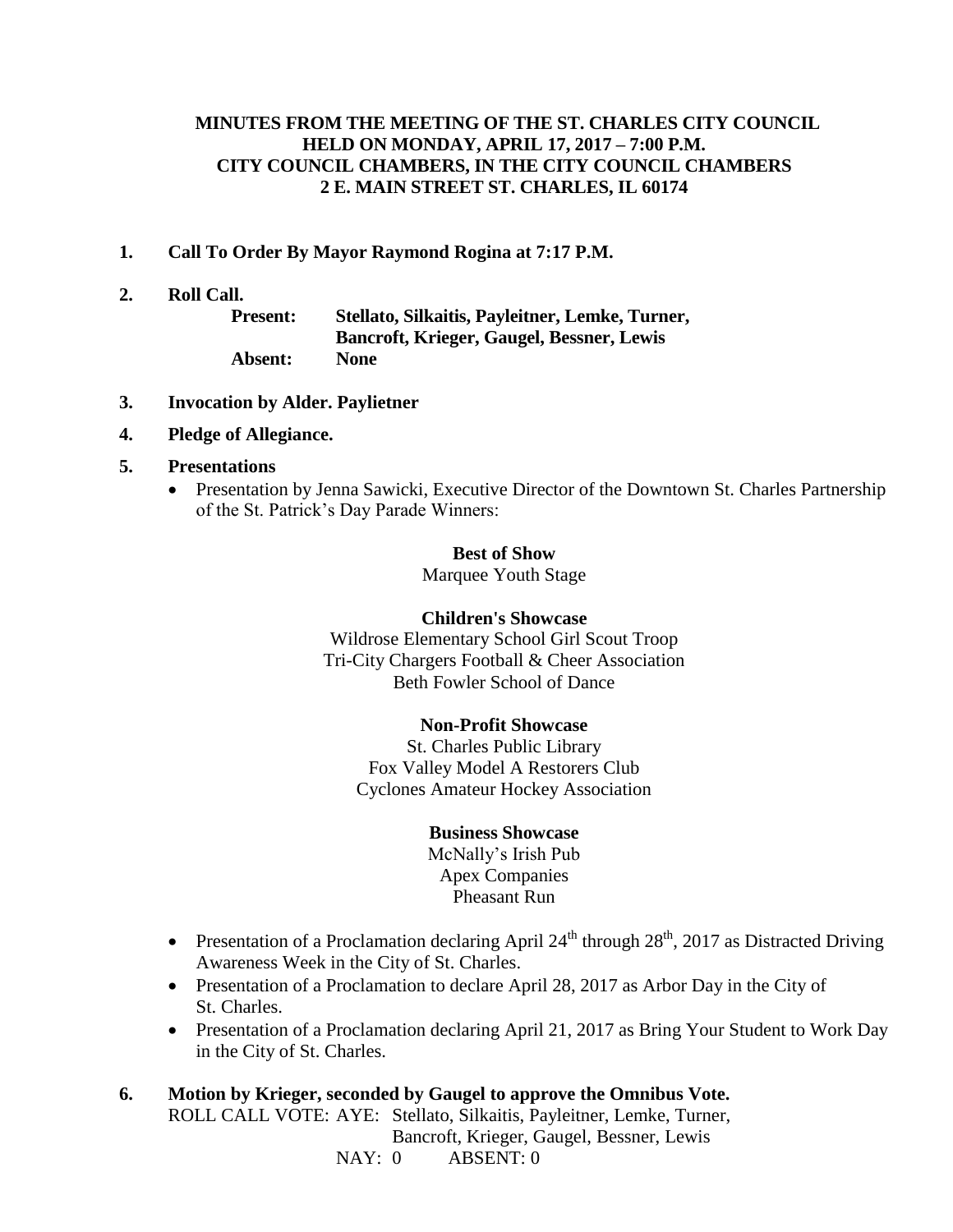## **MINUTES FROM THE MEETING OF THE ST. CHARLES CITY COUNCIL HELD ON MONDAY, APRIL 17, 2017 – 7:00 P.M. CITY COUNCIL CHAMBERS, IN THE CITY COUNCIL CHAMBERS 2 E. MAIN STREET ST. CHARLES, IL 60174**

- **1. Call To Order By Mayor Raymond Rogina at 7:17 P.M.**
- **2. Roll Call.**

**Present: Stellato, Silkaitis, Payleitner, Lemke, Turner, Bancroft, Krieger, Gaugel, Bessner, Lewis Absent: None**

- **3. Invocation by Alder. Paylietner**
- **4. Pledge of Allegiance.**
- **5. Presentations**
	- Presentation by Jenna Sawicki, Executive Director of the Downtown St. Charles Partnership of the St. Patrick's Day Parade Winners:

#### **Best of Show**

Marquee Youth Stage

#### **Children's Showcase**

Wildrose Elementary School Girl Scout Troop Tri-City Chargers Football & Cheer Association Beth Fowler School of Dance

#### **Non-Profit Showcase**

St. Charles Public Library Fox Valley Model A Restorers Club Cyclones Amateur Hockey Association

#### **Business Showcase**

McNally's Irish Pub Apex Companies Pheasant Run

- Presentation of a Proclamation declaring April  $24<sup>th</sup>$  through  $28<sup>th</sup>$ , 2017 as Distracted Driving Awareness Week in the City of St. Charles.
- Presentation of a Proclamation to declare April 28, 2017 as Arbor Day in the City of St. Charles.
- Presentation of a Proclamation declaring April 21, 2017 as Bring Your Student to Work Day in the City of St. Charles.
- **6. Motion by Krieger, seconded by Gaugel to approve the Omnibus Vote.** ROLL CALL VOTE: AYE: Stellato, Silkaitis, Payleitner, Lemke, Turner, Bancroft, Krieger, Gaugel, Bessner, Lewis NAY: 0 ABSENT: 0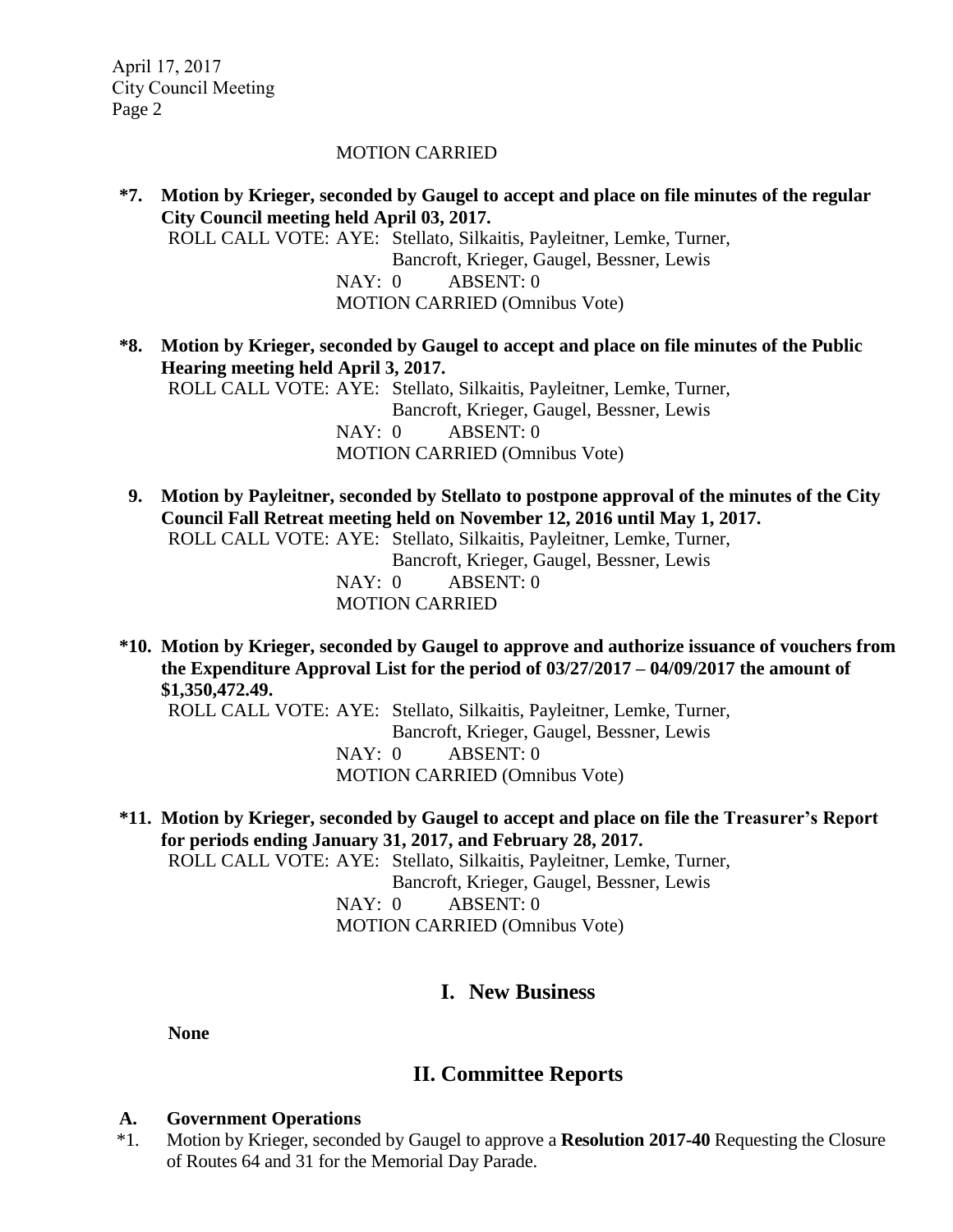#### MOTION CARRIED

- **\*7. Motion by Krieger, seconded by Gaugel to accept and place on file minutes of the regular City Council meeting held April 03, 2017.**  ROLL CALL VOTE: AYE: Stellato, Silkaitis, Payleitner, Lemke, Turner, Bancroft, Krieger, Gaugel, Bessner, Lewis NAY: 0 ABSENT: 0 MOTION CARRIED (Omnibus Vote)
- **\*8. Motion by Krieger, seconded by Gaugel to accept and place on file minutes of the Public Hearing meeting held April 3, 2017.** ROLL CALL VOTE: AYE: Stellato, Silkaitis, Payleitner, Lemke, Turner,

Bancroft, Krieger, Gaugel, Bessner, Lewis NAY: 0 ABSENT: 0 MOTION CARRIED (Omnibus Vote)

- **9. Motion by Payleitner, seconded by Stellato to postpone approval of the minutes of the City Council Fall Retreat meeting held on November 12, 2016 until May 1, 2017.** ROLL CALL VOTE: AYE: Stellato, Silkaitis, Payleitner, Lemke, Turner, Bancroft, Krieger, Gaugel, Bessner, Lewis NAY: 0 ABSENT: 0 MOTION CARRIED
- **\*10. Motion by Krieger, seconded by Gaugel to approve and authorize issuance of vouchers from the Expenditure Approval List for the period of 03/27/2017 – 04/09/2017 the amount of \$1,350,472.49.**

ROLL CALL VOTE: AYE: Stellato, Silkaitis, Payleitner, Lemke, Turner, Bancroft, Krieger, Gaugel, Bessner, Lewis NAY: 0 ABSENT: 0 MOTION CARRIED (Omnibus Vote)

**\*11. Motion by Krieger, seconded by Gaugel to accept and place on file the Treasurer's Report for periods ending January 31, 2017, and February 28, 2017.** ROLL CALL VOTE: AYE: Stellato, Silkaitis, Payleitner, Lemke, Turner, Bancroft, Krieger, Gaugel, Bessner, Lewis NAY: 0 ABSENT: 0 MOTION CARRIED (Omnibus Vote)

# **I. New Business**

**None**

# **II. Committee Reports**

#### **A. Government Operations**

\*1. Motion by Krieger, seconded by Gaugel to approve a **Resolution 2017-40** Requesting the Closure of Routes 64 and 31 for the Memorial Day Parade.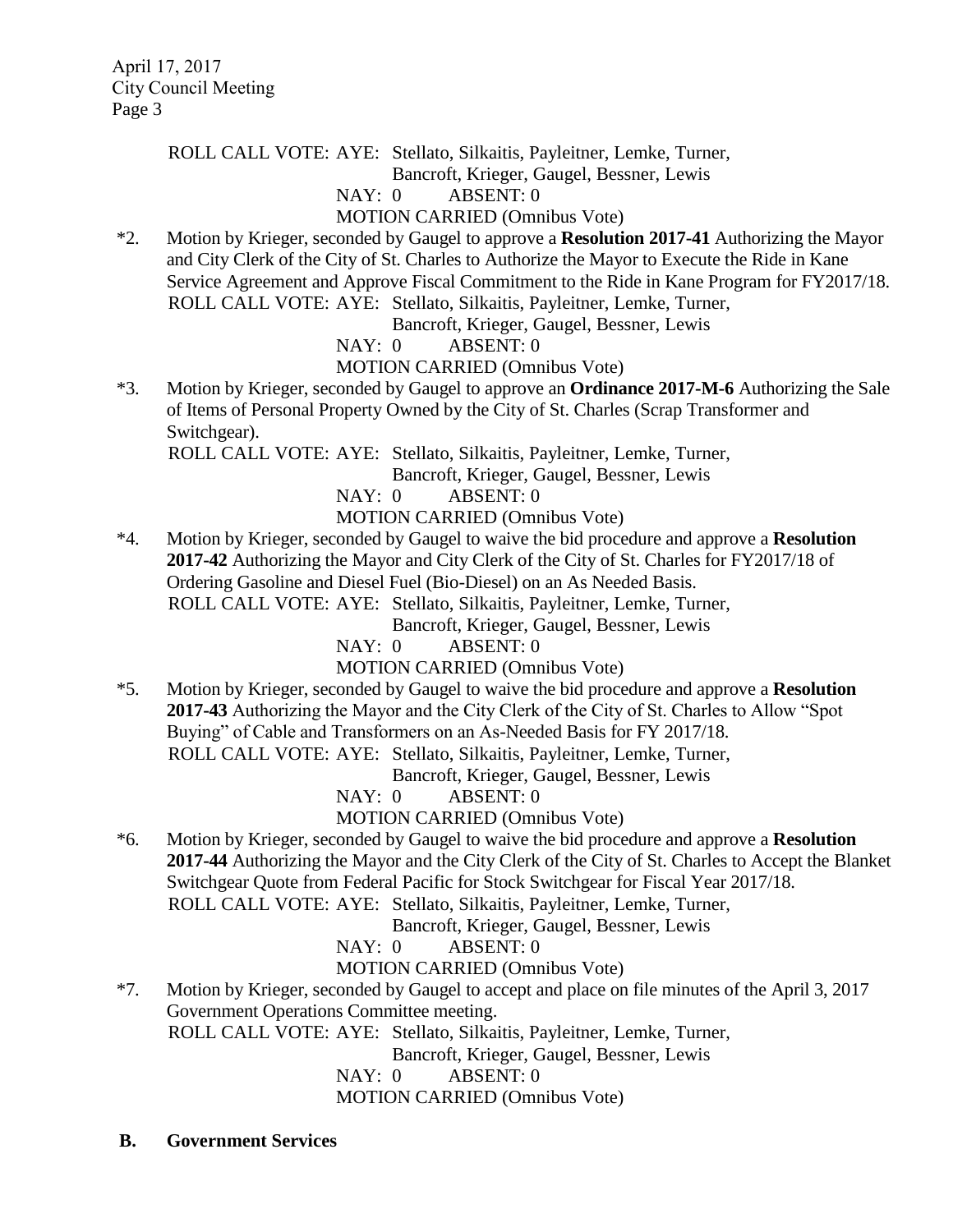ROLL CALL VOTE: AYE: Stellato, Silkaitis, Payleitner, Lemke, Turner,

Bancroft, Krieger, Gaugel, Bessner, Lewis

### NAY: 0 ABSENT: 0

### MOTION CARRIED (Omnibus Vote)

\*2. Motion by Krieger, seconded by Gaugel to approve a **Resolution 2017-41** Authorizing the Mayor and City Clerk of the City of St. Charles to Authorize the Mayor to Execute the Ride in Kane Service Agreement and Approve Fiscal Commitment to the Ride in Kane Program for FY2017/18. ROLL CALL VOTE: AYE: Stellato, Silkaitis, Payleitner, Lemke, Turner,

Bancroft, Krieger, Gaugel, Bessner, Lewis

NAY: 0 ABSENT: 0

### MOTION CARRIED (Omnibus Vote)

\*3. Motion by Krieger, seconded by Gaugel to approve an **Ordinance 2017-M-6** Authorizing the Sale of Items of Personal Property Owned by the City of St. Charles (Scrap Transformer and Switchgear).

ROLL CALL VOTE: AYE: Stellato, Silkaitis, Payleitner, Lemke, Turner,

Bancroft, Krieger, Gaugel, Bessner, Lewis

NAY: 0 ABSENT: 0

MOTION CARRIED (Omnibus Vote)

\*4. Motion by Krieger, seconded by Gaugel to waive the bid procedure and approve a **Resolution 2017-42** Authorizing the Mayor and City Clerk of the City of St. Charles for FY2017/18 of Ordering Gasoline and Diesel Fuel (Bio-Diesel) on an As Needed Basis. ROLL CALL VOTE: AYE: Stellato, Silkaitis, Payleitner, Lemke, Turner,

Bancroft, Krieger, Gaugel, Bessner, Lewis

NAY: 0 ABSENT: 0

MOTION CARRIED (Omnibus Vote)

\*5. Motion by Krieger, seconded by Gaugel to waive the bid procedure and approve a **Resolution 2017-43** Authorizing the Mayor and the City Clerk of the City of St. Charles to Allow "Spot Buying" of Cable and Transformers on an As-Needed Basis for FY 2017/18. ROLL CALL VOTE: AYE: Stellato, Silkaitis, Payleitner, Lemke, Turner,

Bancroft, Krieger, Gaugel, Bessner, Lewis

NAY: 0 ABSENT: 0

# MOTION CARRIED (Omnibus Vote)

\*6. Motion by Krieger, seconded by Gaugel to waive the bid procedure and approve a **Resolution 2017-44** Authorizing the Mayor and the City Clerk of the City of St. Charles to Accept the Blanket Switchgear Quote from Federal Pacific for Stock Switchgear for Fiscal Year 2017/18. ROLL CALL VOTE: AYE: Stellato, Silkaitis, Payleitner, Lemke, Turner,

Bancroft, Krieger, Gaugel, Bessner, Lewis

NAY: 0 ABSENT: 0

# MOTION CARRIED (Omnibus Vote)

\*7. Motion by Krieger, seconded by Gaugel to accept and place on file minutes of the April 3, 2017 Government Operations Committee meeting.

ROLL CALL VOTE: AYE: Stellato, Silkaitis, Payleitner, Lemke, Turner,

Bancroft, Krieger, Gaugel, Bessner, Lewis

NAY: 0 ABSENT: 0

MOTION CARRIED (Omnibus Vote)

**B. Government Services**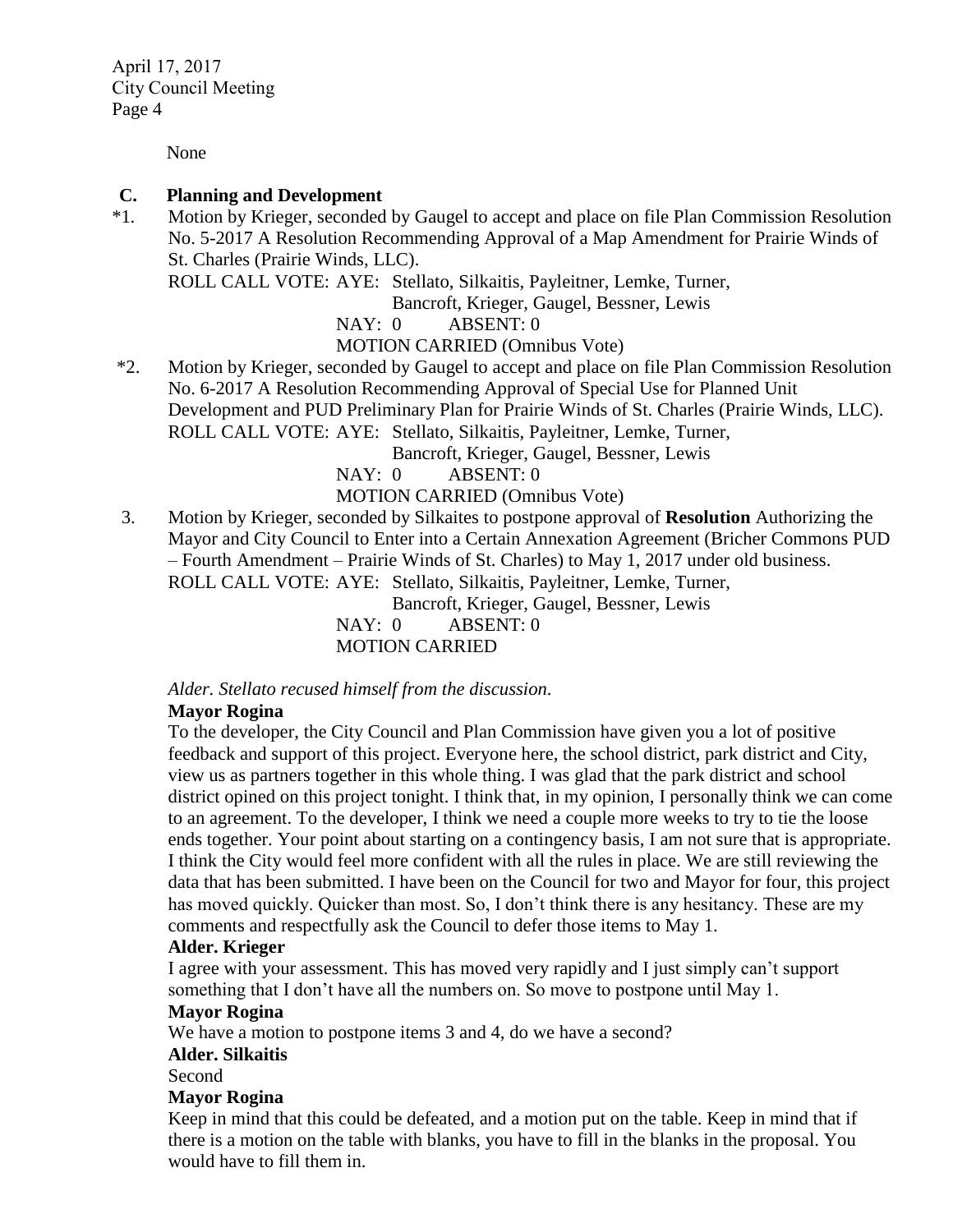None

### **C. Planning and Development**

\*1. Motion by Krieger, seconded by Gaugel to accept and place on file Plan Commission Resolution No. 5-2017 A Resolution Recommending Approval of a Map Amendment for Prairie Winds of St. Charles (Prairie Winds, LLC).

ROLL CALL VOTE: AYE: Stellato, Silkaitis, Payleitner, Lemke, Turner,

Bancroft, Krieger, Gaugel, Bessner, Lewis

NAY: 0 ABSENT: 0

MOTION CARRIED (Omnibus Vote)

\*2. Motion by Krieger, seconded by Gaugel to accept and place on file Plan Commission Resolution No. 6-2017 A Resolution Recommending Approval of Special Use for Planned Unit Development and PUD Preliminary Plan for Prairie Winds of St. Charles (Prairie Winds, LLC). ROLL CALL VOTE: AYE: Stellato, Silkaitis, Payleitner, Lemke, Turner,

Bancroft, Krieger, Gaugel, Bessner, Lewis

NAY: 0 ABSENT: 0

MOTION CARRIED (Omnibus Vote)

3. Motion by Krieger, seconded by Silkaites to postpone approval of **Resolution** Authorizing the Mayor and City Council to Enter into a Certain Annexation Agreement (Bricher Commons PUD – Fourth Amendment – Prairie Winds of St. Charles) to May 1, 2017 under old business. ROLL CALL VOTE: AYE: Stellato, Silkaitis, Payleitner, Lemke, Turner,

Bancroft, Krieger, Gaugel, Bessner, Lewis

NAY: 0 ABSENT: 0 MOTION CARRIED

*Alder. Stellato recused himself from the discussion.* 

### **Mayor Rogina**

To the developer, the City Council and Plan Commission have given you a lot of positive feedback and support of this project. Everyone here, the school district, park district and City, view us as partners together in this whole thing. I was glad that the park district and school district opined on this project tonight. I think that, in my opinion, I personally think we can come to an agreement. To the developer, I think we need a couple more weeks to try to tie the loose ends together. Your point about starting on a contingency basis, I am not sure that is appropriate. I think the City would feel more confident with all the rules in place. We are still reviewing the data that has been submitted. I have been on the Council for two and Mayor for four, this project has moved quickly. Quicker than most. So, I don't think there is any hesitancy. These are my comments and respectfully ask the Council to defer those items to May 1.

### **Alder. Krieger**

I agree with your assessment. This has moved very rapidly and I just simply can't support something that I don't have all the numbers on. So move to postpone until May 1.

#### **Mayor Rogina**

We have a motion to postpone items 3 and 4, do we have a second?

### **Alder. Silkaitis**

Second

### **Mayor Rogina**

Keep in mind that this could be defeated, and a motion put on the table. Keep in mind that if there is a motion on the table with blanks, you have to fill in the blanks in the proposal. You would have to fill them in.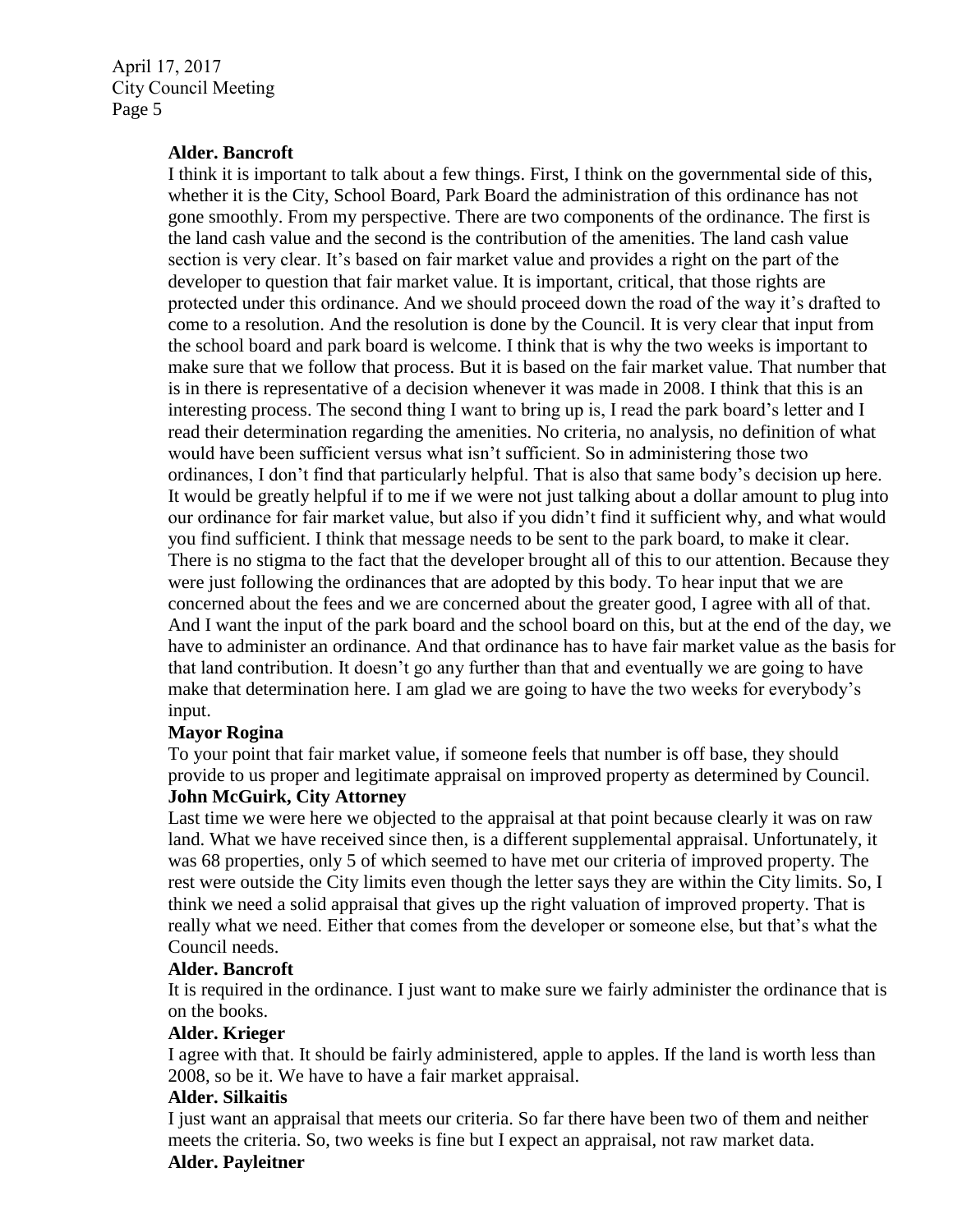#### **Alder. Bancroft**

I think it is important to talk about a few things. First, I think on the governmental side of this, whether it is the City, School Board, Park Board the administration of this ordinance has not gone smoothly. From my perspective. There are two components of the ordinance. The first is the land cash value and the second is the contribution of the amenities. The land cash value section is very clear. It's based on fair market value and provides a right on the part of the developer to question that fair market value. It is important, critical, that those rights are protected under this ordinance. And we should proceed down the road of the way it's drafted to come to a resolution. And the resolution is done by the Council. It is very clear that input from the school board and park board is welcome. I think that is why the two weeks is important to make sure that we follow that process. But it is based on the fair market value. That number that is in there is representative of a decision whenever it was made in 2008. I think that this is an interesting process. The second thing I want to bring up is, I read the park board's letter and I read their determination regarding the amenities. No criteria, no analysis, no definition of what would have been sufficient versus what isn't sufficient. So in administering those two ordinances, I don't find that particularly helpful. That is also that same body's decision up here. It would be greatly helpful if to me if we were not just talking about a dollar amount to plug into our ordinance for fair market value, but also if you didn't find it sufficient why, and what would you find sufficient. I think that message needs to be sent to the park board, to make it clear. There is no stigma to the fact that the developer brought all of this to our attention. Because they were just following the ordinances that are adopted by this body. To hear input that we are concerned about the fees and we are concerned about the greater good, I agree with all of that. And I want the input of the park board and the school board on this, but at the end of the day, we have to administer an ordinance. And that ordinance has to have fair market value as the basis for that land contribution. It doesn't go any further than that and eventually we are going to have make that determination here. I am glad we are going to have the two weeks for everybody's input.

### **Mayor Rogina**

To your point that fair market value, if someone feels that number is off base, they should provide to us proper and legitimate appraisal on improved property as determined by Council. **John McGuirk, City Attorney**

Last time we were here we objected to the appraisal at that point because clearly it was on raw land. What we have received since then, is a different supplemental appraisal. Unfortunately, it was 68 properties, only 5 of which seemed to have met our criteria of improved property. The rest were outside the City limits even though the letter says they are within the City limits. So, I think we need a solid appraisal that gives up the right valuation of improved property. That is really what we need. Either that comes from the developer or someone else, but that's what the Council needs.

### **Alder. Bancroft**

It is required in the ordinance. I just want to make sure we fairly administer the ordinance that is on the books.

### **Alder. Krieger**

I agree with that. It should be fairly administered, apple to apples. If the land is worth less than 2008, so be it. We have to have a fair market appraisal.

#### **Alder. Silkaitis**

I just want an appraisal that meets our criteria. So far there have been two of them and neither meets the criteria. So, two weeks is fine but I expect an appraisal, not raw market data.

#### **Alder. Payleitner**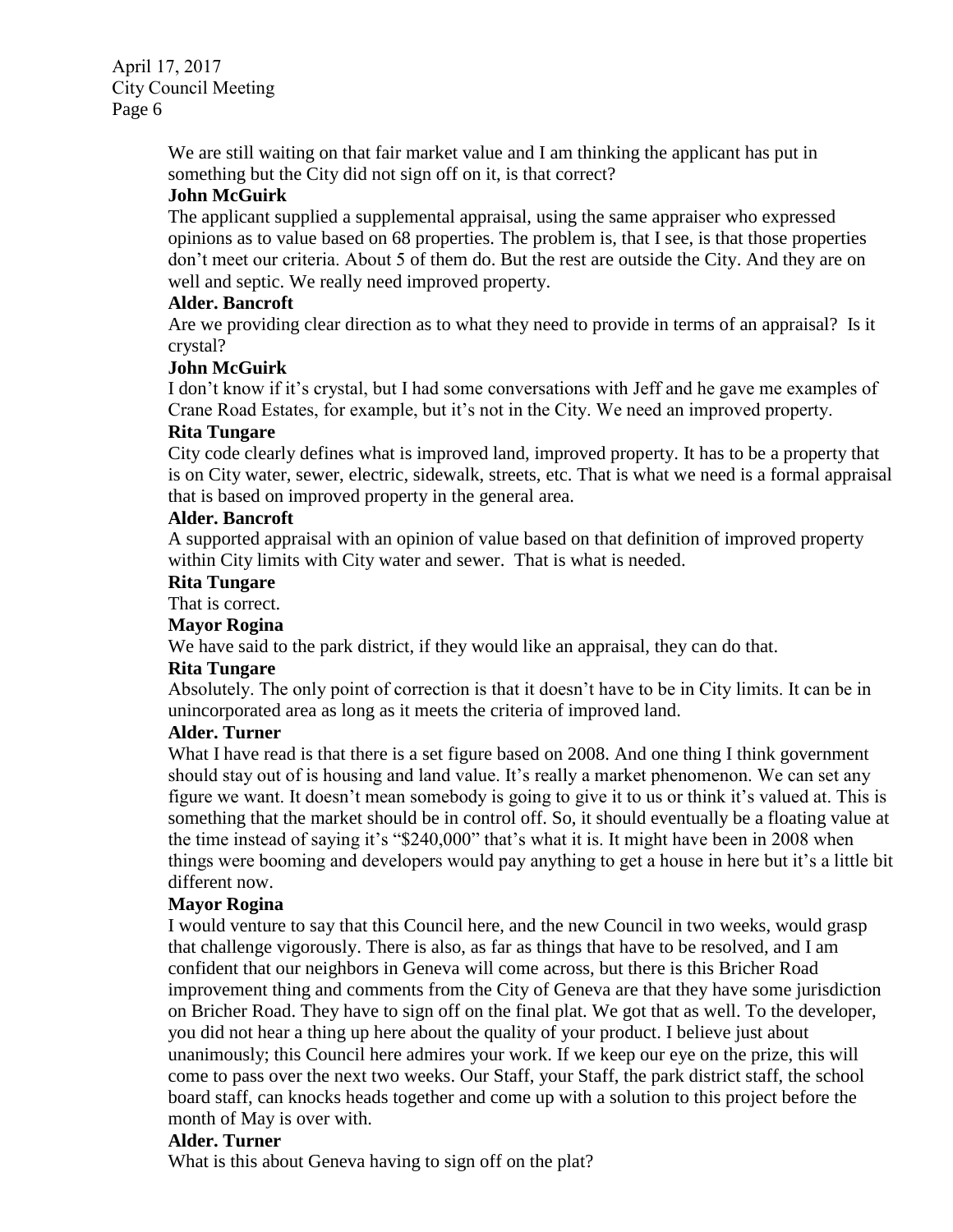> We are still waiting on that fair market value and I am thinking the applicant has put in something but the City did not sign off on it, is that correct?

### **John McGuirk**

The applicant supplied a supplemental appraisal, using the same appraiser who expressed opinions as to value based on 68 properties. The problem is, that I see, is that those properties don't meet our criteria. About 5 of them do. But the rest are outside the City. And they are on well and septic. We really need improved property.

### **Alder. Bancroft**

Are we providing clear direction as to what they need to provide in terms of an appraisal? Is it crystal?

### **John McGuirk**

I don't know if it's crystal, but I had some conversations with Jeff and he gave me examples of Crane Road Estates, for example, but it's not in the City. We need an improved property.

### **Rita Tungare**

City code clearly defines what is improved land, improved property. It has to be a property that is on City water, sewer, electric, sidewalk, streets, etc. That is what we need is a formal appraisal that is based on improved property in the general area.

### **Alder. Bancroft**

A supported appraisal with an opinion of value based on that definition of improved property within City limits with City water and sewer. That is what is needed.

### **Rita Tungare**

That is correct.

### **Mayor Rogina**

We have said to the park district, if they would like an appraisal, they can do that.

### **Rita Tungare**

Absolutely. The only point of correction is that it doesn't have to be in City limits. It can be in unincorporated area as long as it meets the criteria of improved land.

# **Alder. Turner**

What I have read is that there is a set figure based on 2008. And one thing I think government should stay out of is housing and land value. It's really a market phenomenon. We can set any figure we want. It doesn't mean somebody is going to give it to us or think it's valued at. This is something that the market should be in control off. So, it should eventually be a floating value at the time instead of saying it's "\$240,000" that's what it is. It might have been in 2008 when things were booming and developers would pay anything to get a house in here but it's a little bit different now.

### **Mayor Rogina**

I would venture to say that this Council here, and the new Council in two weeks, would grasp that challenge vigorously. There is also, as far as things that have to be resolved, and I am confident that our neighbors in Geneva will come across, but there is this Bricher Road improvement thing and comments from the City of Geneva are that they have some jurisdiction on Bricher Road. They have to sign off on the final plat. We got that as well. To the developer, you did not hear a thing up here about the quality of your product. I believe just about unanimously; this Council here admires your work. If we keep our eye on the prize, this will come to pass over the next two weeks. Our Staff, your Staff, the park district staff, the school board staff, can knocks heads together and come up with a solution to this project before the month of May is over with.

# **Alder. Turner**

What is this about Geneva having to sign off on the plat?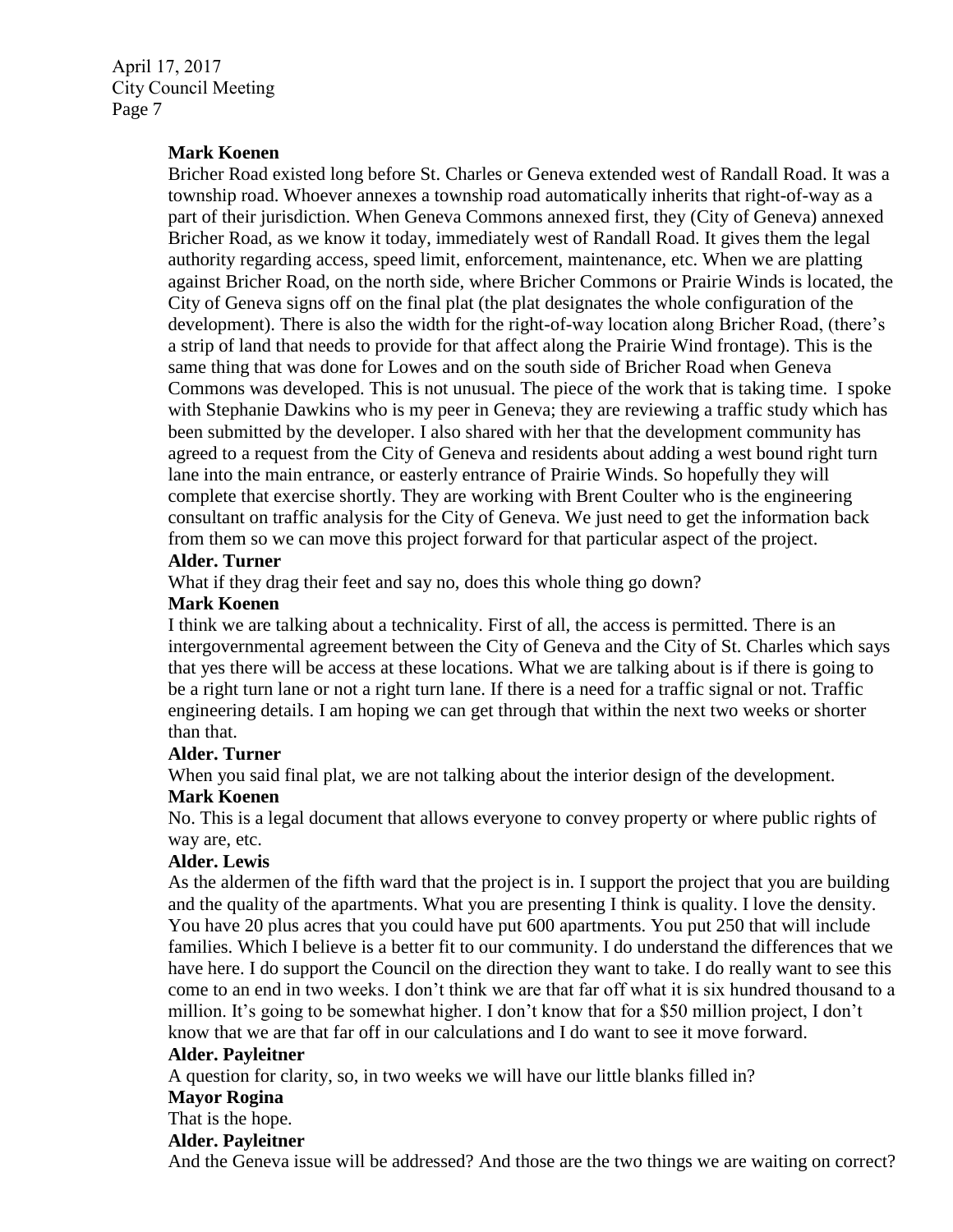### **Mark Koenen**

Bricher Road existed long before St. Charles or Geneva extended west of Randall Road. It was a township road. Whoever annexes a township road automatically inherits that right-of-way as a part of their jurisdiction. When Geneva Commons annexed first, they (City of Geneva) annexed Bricher Road, as we know it today, immediately west of Randall Road. It gives them the legal authority regarding access, speed limit, enforcement, maintenance, etc. When we are platting against Bricher Road, on the north side, where Bricher Commons or Prairie Winds is located, the City of Geneva signs off on the final plat (the plat designates the whole configuration of the development). There is also the width for the right-of-way location along Bricher Road, (there's a strip of land that needs to provide for that affect along the Prairie Wind frontage). This is the same thing that was done for Lowes and on the south side of Bricher Road when Geneva Commons was developed. This is not unusual. The piece of the work that is taking time. I spoke with Stephanie Dawkins who is my peer in Geneva; they are reviewing a traffic study which has been submitted by the developer. I also shared with her that the development community has agreed to a request from the City of Geneva and residents about adding a west bound right turn lane into the main entrance, or easterly entrance of Prairie Winds. So hopefully they will complete that exercise shortly. They are working with Brent Coulter who is the engineering consultant on traffic analysis for the City of Geneva. We just need to get the information back from them so we can move this project forward for that particular aspect of the project.

### **Alder. Turner**

What if they drag their feet and say no, does this whole thing go down?

### **Mark Koenen**

I think we are talking about a technicality. First of all, the access is permitted. There is an intergovernmental agreement between the City of Geneva and the City of St. Charles which says that yes there will be access at these locations. What we are talking about is if there is going to be a right turn lane or not a right turn lane. If there is a need for a traffic signal or not. Traffic engineering details. I am hoping we can get through that within the next two weeks or shorter than that.

#### **Alder. Turner**

When you said final plat, we are not talking about the interior design of the development.

#### **Mark Koenen**

No. This is a legal document that allows everyone to convey property or where public rights of way are, etc.

## **Alder. Lewis**

As the aldermen of the fifth ward that the project is in. I support the project that you are building and the quality of the apartments. What you are presenting I think is quality. I love the density. You have 20 plus acres that you could have put 600 apartments. You put 250 that will include families. Which I believe is a better fit to our community. I do understand the differences that we have here. I do support the Council on the direction they want to take. I do really want to see this come to an end in two weeks. I don't think we are that far off what it is six hundred thousand to a million. It's going to be somewhat higher. I don't know that for a \$50 million project, I don't know that we are that far off in our calculations and I do want to see it move forward.

### **Alder. Payleitner**

A question for clarity, so, in two weeks we will have our little blanks filled in?

### **Mayor Rogina**

That is the hope.

#### **Alder. Payleitner**

And the Geneva issue will be addressed? And those are the two things we are waiting on correct?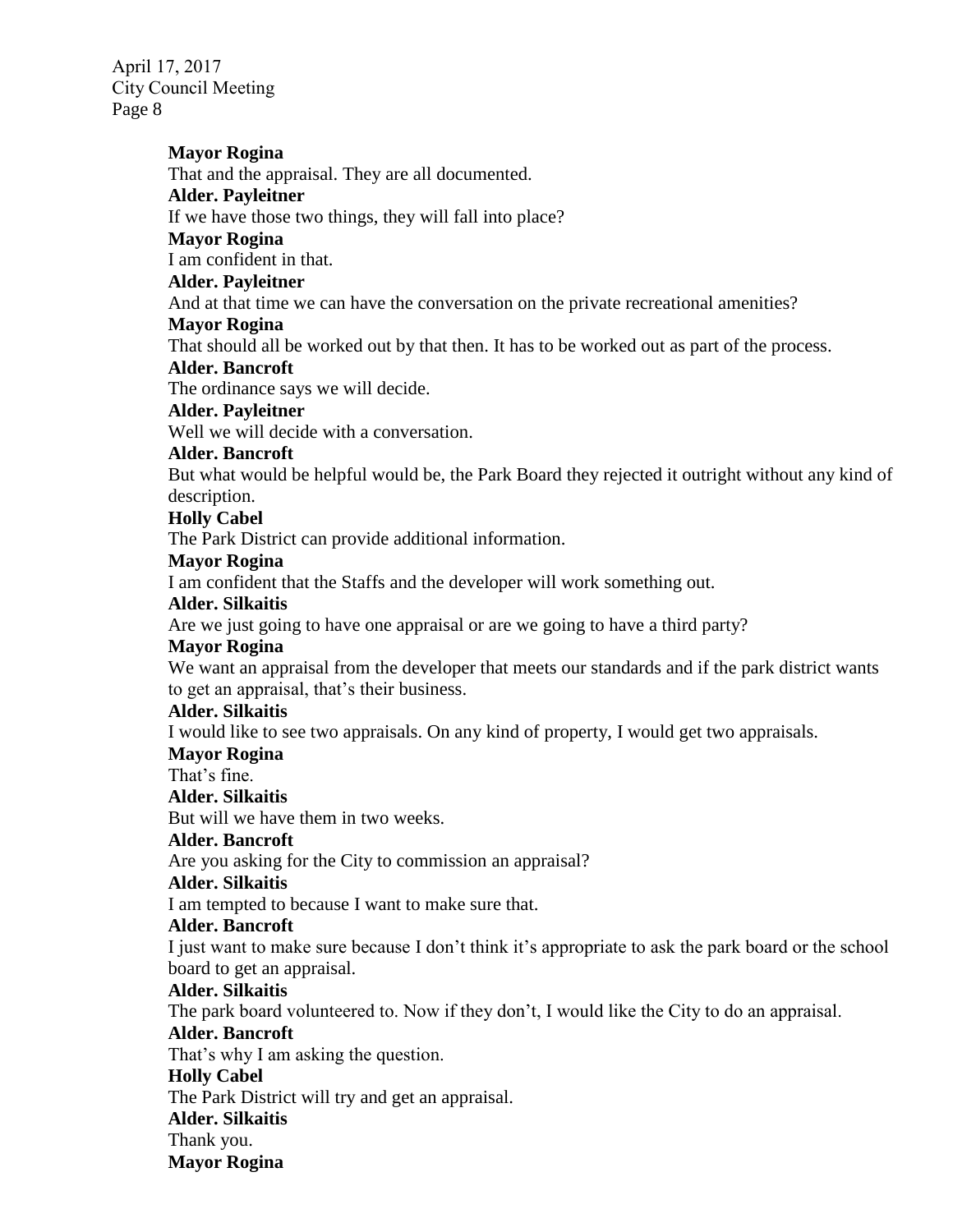# **Mayor Rogina**

That and the appraisal. They are all documented.

## **Alder. Payleitner**

If we have those two things, they will fall into place?

# **Mayor Rogina**

I am confident in that.

# **Alder. Payleitner**

And at that time we can have the conversation on the private recreational amenities?

# **Mayor Rogina**

That should all be worked out by that then. It has to be worked out as part of the process.

# **Alder. Bancroft**

The ordinance says we will decide.

# **Alder. Payleitner**

Well we will decide with a conversation.

# **Alder. Bancroft**

But what would be helpful would be, the Park Board they rejected it outright without any kind of description.

# **Holly Cabel**

The Park District can provide additional information.

# **Mayor Rogina**

I am confident that the Staffs and the developer will work something out.

# **Alder. Silkaitis**

Are we just going to have one appraisal or are we going to have a third party?

# **Mayor Rogina**

We want an appraisal from the developer that meets our standards and if the park district wants to get an appraisal, that's their business.

# **Alder. Silkaitis**

I would like to see two appraisals. On any kind of property, I would get two appraisals.

# **Mayor Rogina**

That's fine.

# **Alder. Silkaitis**

But will we have them in two weeks.

# **Alder. Bancroft**

Are you asking for the City to commission an appraisal?

# **Alder. Silkaitis**

I am tempted to because I want to make sure that.

# **Alder. Bancroft**

I just want to make sure because I don't think it's appropriate to ask the park board or the school board to get an appraisal.

# **Alder. Silkaitis**

The park board volunteered to. Now if they don't, I would like the City to do an appraisal.

# **Alder. Bancroft**

That's why I am asking the question.

# **Holly Cabel**

The Park District will try and get an appraisal.

# **Alder. Silkaitis**

Thank you.

**Mayor Rogina**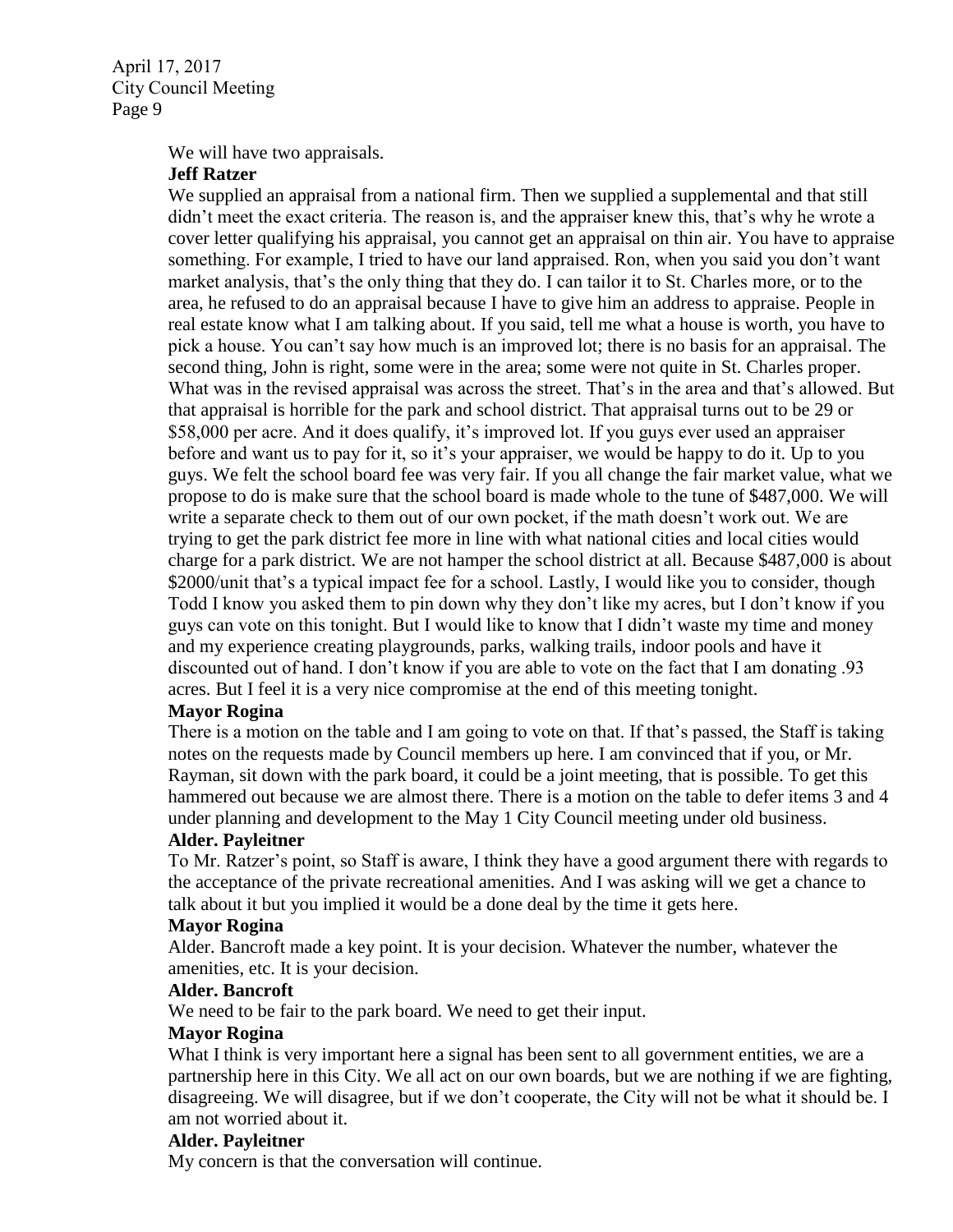We will have two appraisals.

### **Jeff Ratzer**

We supplied an appraisal from a national firm. Then we supplied a supplemental and that still didn't meet the exact criteria. The reason is, and the appraiser knew this, that's why he wrote a cover letter qualifying his appraisal, you cannot get an appraisal on thin air. You have to appraise something. For example, I tried to have our land appraised. Ron, when you said you don't want market analysis, that's the only thing that they do. I can tailor it to St. Charles more, or to the area, he refused to do an appraisal because I have to give him an address to appraise. People in real estate know what I am talking about. If you said, tell me what a house is worth, you have to pick a house. You can't say how much is an improved lot; there is no basis for an appraisal. The second thing, John is right, some were in the area; some were not quite in St. Charles proper. What was in the revised appraisal was across the street. That's in the area and that's allowed. But that appraisal is horrible for the park and school district. That appraisal turns out to be 29 or \$58,000 per acre. And it does qualify, it's improved lot. If you guys ever used an appraiser before and want us to pay for it, so it's your appraiser, we would be happy to do it. Up to you guys. We felt the school board fee was very fair. If you all change the fair market value, what we propose to do is make sure that the school board is made whole to the tune of \$487,000. We will write a separate check to them out of our own pocket, if the math doesn't work out. We are trying to get the park district fee more in line with what national cities and local cities would charge for a park district. We are not hamper the school district at all. Because \$487,000 is about \$2000/unit that's a typical impact fee for a school. Lastly, I would like you to consider, though Todd I know you asked them to pin down why they don't like my acres, but I don't know if you guys can vote on this tonight. But I would like to know that I didn't waste my time and money and my experience creating playgrounds, parks, walking trails, indoor pools and have it discounted out of hand. I don't know if you are able to vote on the fact that I am donating .93 acres. But I feel it is a very nice compromise at the end of this meeting tonight.

### **Mayor Rogina**

There is a motion on the table and I am going to vote on that. If that's passed, the Staff is taking notes on the requests made by Council members up here. I am convinced that if you, or Mr. Rayman, sit down with the park board, it could be a joint meeting, that is possible. To get this hammered out because we are almost there. There is a motion on the table to defer items 3 and 4 under planning and development to the May 1 City Council meeting under old business.

### **Alder. Payleitner**

To Mr. Ratzer's point, so Staff is aware, I think they have a good argument there with regards to the acceptance of the private recreational amenities. And I was asking will we get a chance to talk about it but you implied it would be a done deal by the time it gets here.

### **Mayor Rogina**

Alder. Bancroft made a key point. It is your decision. Whatever the number, whatever the amenities, etc. It is your decision.

#### **Alder. Bancroft**

We need to be fair to the park board. We need to get their input.

#### **Mayor Rogina**

What I think is very important here a signal has been sent to all government entities, we are a partnership here in this City. We all act on our own boards, but we are nothing if we are fighting, disagreeing. We will disagree, but if we don't cooperate, the City will not be what it should be. I am not worried about it.

### **Alder. Payleitner**

My concern is that the conversation will continue.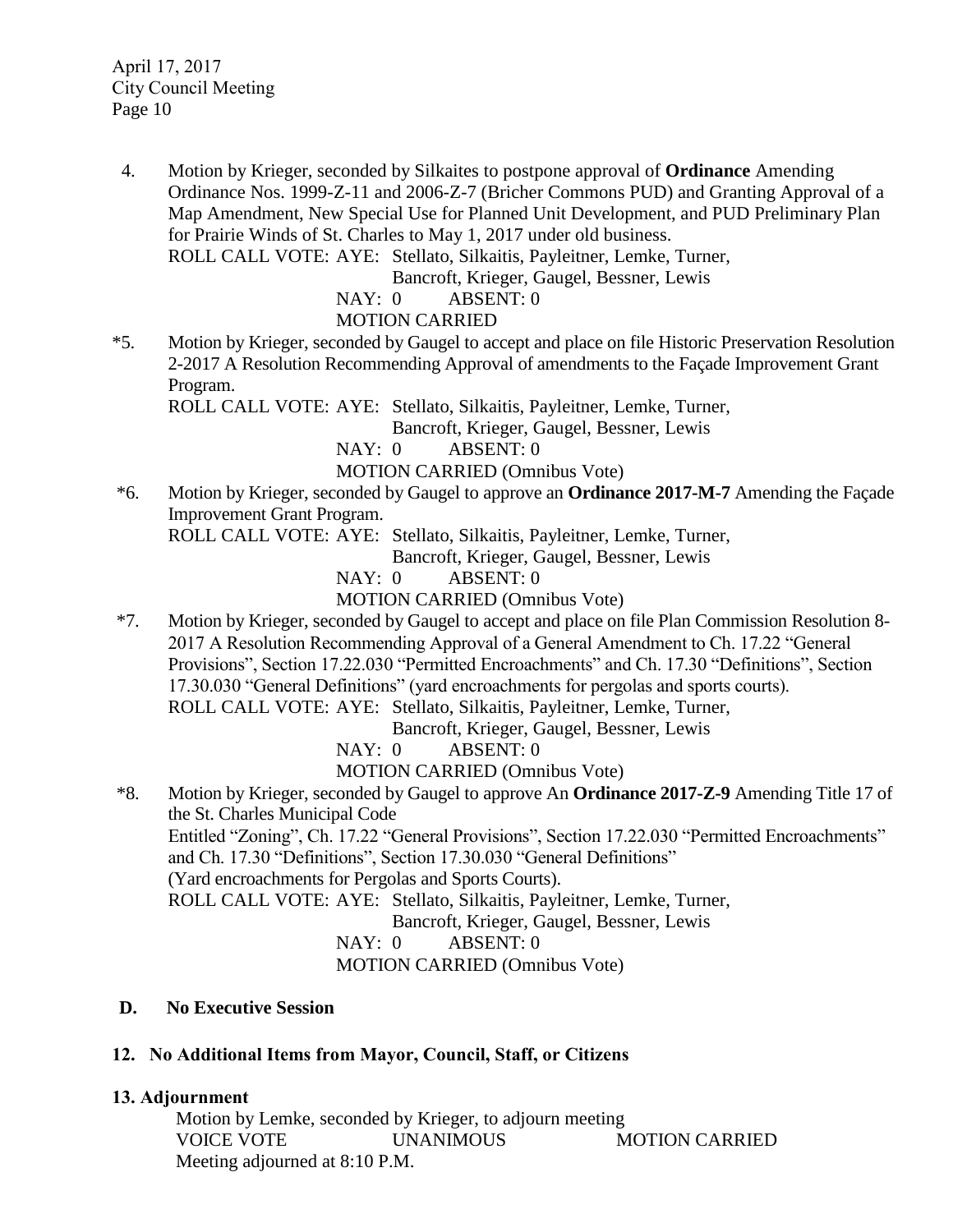4. Motion by Krieger, seconded by Silkaites to postpone approval of **Ordinance** Amending Ordinance Nos. 1999-Z-11 and 2006-Z-7 (Bricher Commons PUD) and Granting Approval of a Map Amendment, New Special Use for Planned Unit Development, and PUD Preliminary Plan for Prairie Winds of St. Charles to May 1, 2017 under old business. ROLL CALL VOTE: AYE: Stellato, Silkaitis, Payleitner, Lemke, Turner,

Bancroft, Krieger, Gaugel, Bessner, Lewis

NAY: 0 ABSENT: 0

MOTION CARRIED

\*5. Motion by Krieger, seconded by Gaugel to accept and place on file Historic Preservation Resolution 2-2017 A Resolution Recommending Approval of amendments to the Façade Improvement Grant Program.

ROLL CALL VOTE: AYE: Stellato, Silkaitis, Payleitner, Lemke, Turner,

Bancroft, Krieger, Gaugel, Bessner, Lewis

NAY: 0 ABSENT: 0

MOTION CARRIED (Omnibus Vote)

\*6. Motion by Krieger, seconded by Gaugel to approve an **Ordinance 2017-M-7** Amending the Façade Improvement Grant Program.

ROLL CALL VOTE: AYE: Stellato, Silkaitis, Payleitner, Lemke, Turner,

Bancroft, Krieger, Gaugel, Bessner, Lewis

NAY: 0 ABSENT: 0

MOTION CARRIED (Omnibus Vote)

\*7. Motion by Krieger, seconded by Gaugel to accept and place on file Plan Commission Resolution 8- 2017 A Resolution Recommending Approval of a General Amendment to Ch. 17.22 "General Provisions", Section 17.22.030 "Permitted Encroachments" and Ch. 17.30 "Definitions", Section 17.30.030 "General Definitions" (yard encroachments for pergolas and sports courts). ROLL CALL VOTE: AYE: Stellato, Silkaitis, Payleitner, Lemke, Turner,

Bancroft, Krieger, Gaugel, Bessner, Lewis

NAY: 0 ABSENT: 0

MOTION CARRIED (Omnibus Vote)

\*8. Motion by Krieger, seconded by Gaugel to approve An **Ordinance 2017-Z-9** Amending Title 17 of the St. Charles Municipal Code Entitled "Zoning", Ch. 17.22 "General Provisions", Section 17.22.030 "Permitted Encroachments" and Ch. 17.30 "Definitions", Section 17.30.030 "General Definitions" (Yard encroachments for Pergolas and Sports Courts). ROLL CALL VOTE: AYE: Stellato, Silkaitis, Payleitner, Lemke, Turner, Bancroft, Krieger, Gaugel, Bessner, Lewis NAY: 0 ABSENT: 0

MOTION CARRIED (Omnibus Vote)

# **D. No Executive Session**

# **12. No Additional Items from Mayor, Council, Staff, or Citizens**

# **13. Adjournment**

Motion by Lemke, seconded by Krieger, to adjourn meeting VOICE VOTE UNANIMOUS MOTION CARRIED Meeting adjourned at 8:10 P.M.